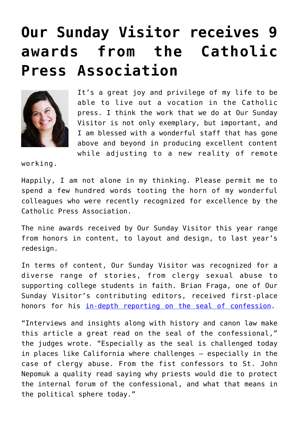## **[Our Sunday Visitor receives 9](https://www.osvnews.com/amp/2020/07/14/our-sunday-visitor-receives-9-awards-from-the-catholic-press-association/) [awards from the Catholic](https://www.osvnews.com/amp/2020/07/14/our-sunday-visitor-receives-9-awards-from-the-catholic-press-association/) [Press Association](https://www.osvnews.com/amp/2020/07/14/our-sunday-visitor-receives-9-awards-from-the-catholic-press-association/)**



It's a great joy and privilege of my life to be able to live out a vocation in the Catholic press. I think the work that we do at Our Sunday Visitor is not only exemplary, but important, and I am blessed with a wonderful staff that has gone above and beyond in producing excellent content while adjusting to a new reality of remote

working.

Happily, I am not alone in my thinking. Please permit me to spend a few hundred words tooting the horn of my wonderful colleagues who were recently recognized for excellence by the Catholic Press Association.

The nine awards received by Our Sunday Visitor this year range from honors in content, to layout and design, to last year's redesign.

In terms of content, Our Sunday Visitor was recognized for a diverse range of stories, from clergy sexual abuse to supporting college students in faith. Brian Fraga, one of Our Sunday Visitor's contributing editors, received first-place honors for his [in-depth reporting on the seal of confession](https://osvnews.com/2019/05/15/the-seal-of-confession/).

"Interviews and insights along with history and canon law make this article a great read on the seal of the confessional," the judges wrote. "Especially as the seal is challenged today in places like California where challenges — especially in the case of clergy abuse. From the fist confessors to St. John Nepomuk a quality read saying why priests would die to protect the internal forum of the confessional, and what that means in the political sphere today."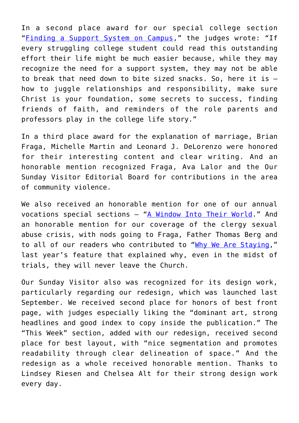In a second place award for our special college section "[Finding a Support System on Campus](https://www.osvnews.com/tag/fall-catholic-colleges-section/)," the judges wrote: "If every struggling college student could read this outstanding effort their life might be much easier because, while they may recognize the need for a support system, they may not be able to break that need down to bite sized snacks. So, here it is how to juggle relationships and responsibility, make sure Christ is your foundation, some secrets to success, finding friends of faith, and reminders of the role parents and professors play in the college life story."

In a third place award for the explanation of marriage, Brian Fraga, Michelle Martin and Leonard J. DeLorenzo were honored for their interesting content and clear writing. And an honorable mention recognized Fraga, Ava Lalor and the Our Sunday Visitor Editorial Board for contributions in the area of community violence.

We also received an honorable mention for one of our annual vocations special sections — ["A Window Into Their World.](https://www.osvnews.com/tag/fall-vocations-2019/)" And an honorable mention for our coverage of the clergy sexual abuse crisis, with nods going to Fraga, Father Thomas Berg and to all of our readers who contributed to ["Why We Are Staying](https://www.osvnews.com/2019/04/21/why-we-are-staying/)," last year's feature that explained why, even in the midst of trials, they will never leave the Church.

Our Sunday Visitor also was recognized for its design work, particularly regarding our redesign, which was launched last September. We received second place for honors of best front page, with judges especially liking the "dominant art, strong headlines and good index to copy inside the publication." The "This Week" section, added with our redesign, received second place for best layout, with "nice segmentation and promotes readability through clear delineation of space." And the redesign as a whole received honorable mention. Thanks to Lindsey Riesen and Chelsea Alt for their strong design work every day.